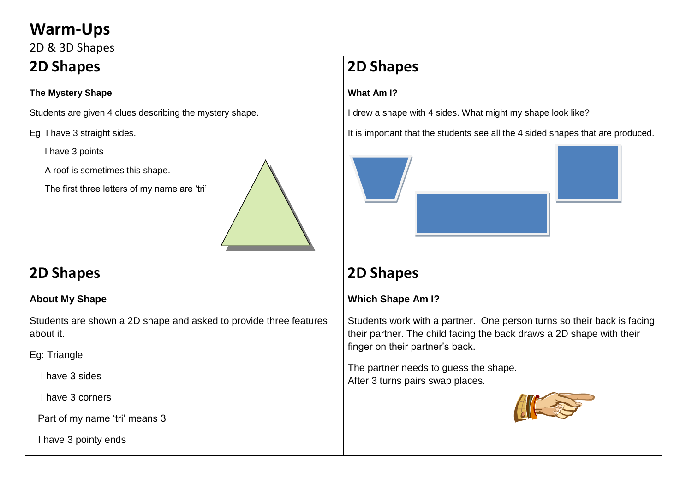## **Warm-Ups**

2D & 3D Shapes

## **2D Shapes**

### **The Mystery Shape**

Students are given 4 clues describing the mystery shape.

Eg: I have 3 straight sides.

I have 3 points

A roof is sometimes this shape.

The first three letters of my name are 'tri'



## **2D Shapes**

### **About My Shape**

Students are shown a 2D shape and asked to provide three features about it.

Eg: Triangle

I have 3 sides

I have 3 corners

Part of my name 'tri' means 3

I have 3 pointy ends

# **2D Shapes**

### **What Am I?**

I drew a shape with 4 sides. What might my shape look like?

It is important that the students see all the 4 sided shapes that are produced.



## **2D Shapes**

### **Which Shape Am I?**

Students work with a partner. One person turns so their back is facing their partner. The child facing the back draws a 2D shape with their finger on their partner's back.

The partner needs to guess the shape. After 3 turns pairs swap places.

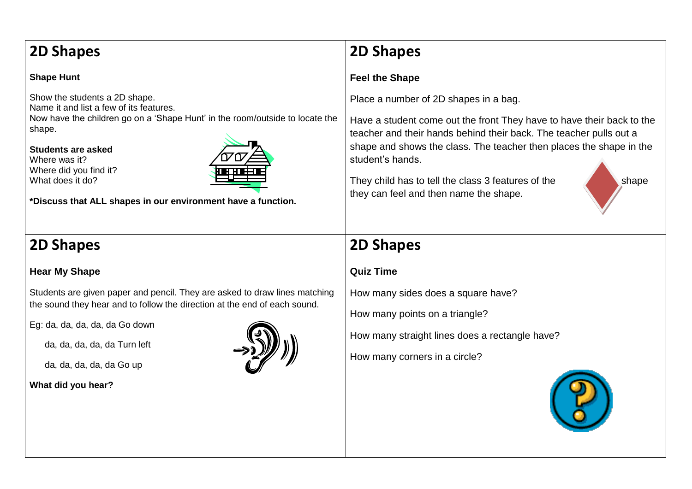## **2D Shapes**

#### **Shape Hunt**

Show the students a 2D shape. Name it and list a few of its features. Now have the children go on a 'Shape Hunt' in the room/outside to locate the shape.

**Students are asked**  Where was it? Where did you find it? What does it do?



**\*Discuss that ALL shapes in our environment have a function.**

## **2D Shapes**

### **Hear My Shape**

Students are given paper and pencil. They are asked to draw lines matching the sound they hear and to follow the direction at the end of each sound.

Eg: da, da, da, da, da Go down

da, da, da, da, da Turn left

da, da, da, da, da Go up

#### **What did you hear?**



## **2D Shapes**

### **Feel the Shape**

Place a number of 2D shapes in a bag.

Have a student come out the front They have to have their back to the teacher and their hands behind their back. The teacher pulls out a shape and shows the class. The teacher then places the shape in the student's hands.

They child has to tell the class 3 features of the shape they can feel and then name the shape.



### **2D Shapes**

### **Quiz Time**

How many sides does a square have?

How many points on a triangle?

How many straight lines does a rectangle have?

How many corners in a circle?

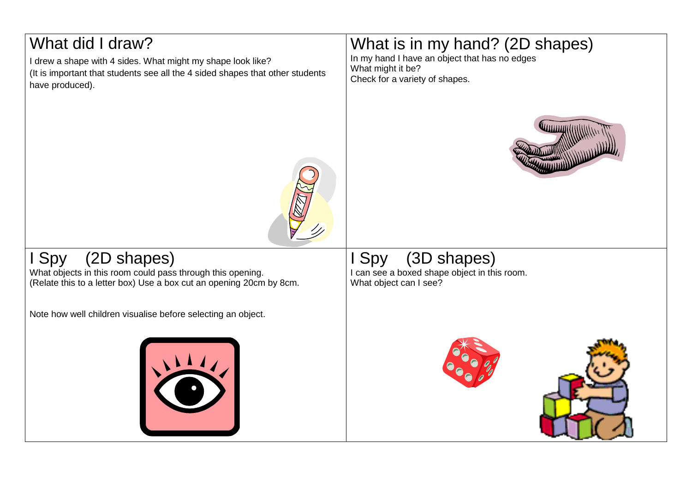# What did I draw? I drew a shape with 4 sides. What might my shape look like? (It is important that students see all the 4 sided shapes that other students have produced). What is in my hand? (2D shapes) In my hand I have an object that has no edges What might it be? Check for a variety of shapes. I Spy (2D shapes) What objects in this room could pass through this opening. (Relate this to a letter box) Use a box cut an opening 20cm by 8cm. Note how well children visualise before selecting an object. Spy (3D shapes) I can see a boxed shape object in this room. What object can I see?



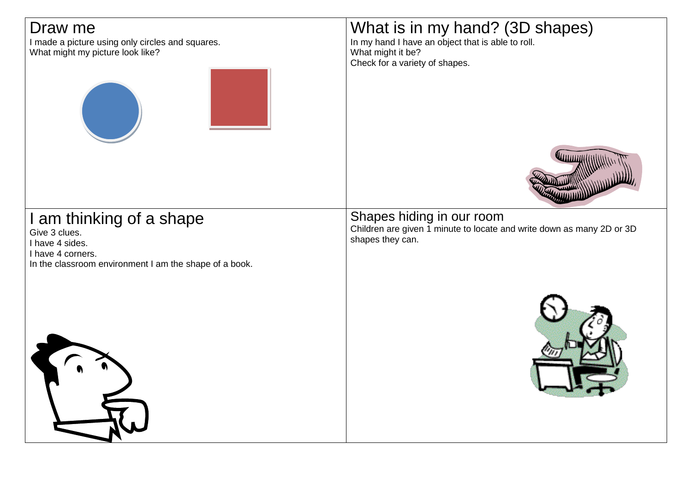| Draw me<br>I made a picture using only circles and squares.<br>What might my picture look like?                                             | What is in my hand? (3D shapes)<br>In my hand I have an object that is able to roll.<br>What might it be?<br>Check for a variety of shapes. |
|---------------------------------------------------------------------------------------------------------------------------------------------|---------------------------------------------------------------------------------------------------------------------------------------------|
|                                                                                                                                             |                                                                                                                                             |
| I am thinking of a shape<br>Give 3 clues.<br>I have 4 sides.<br>I have 4 corners.<br>In the classroom environment I am the shape of a book. | Shapes hiding in our room<br>Children are given 1 minute to locate and write down as many 2D or 3D<br>shapes they can.                      |
|                                                                                                                                             |                                                                                                                                             |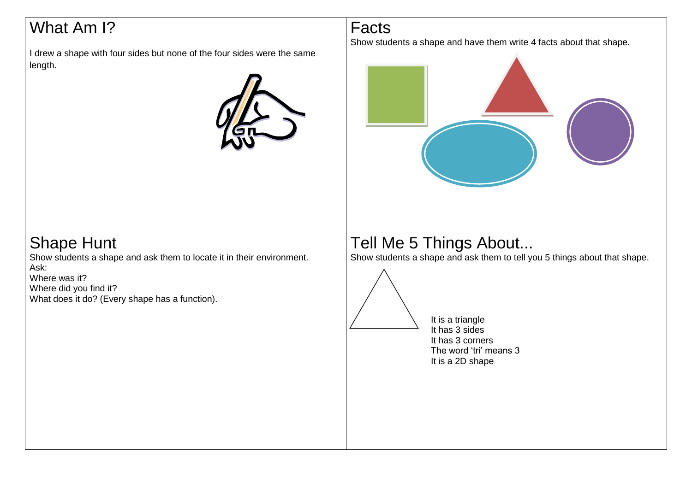# What Am I?

I drew a shape with four sides but none of the four sides were the same length.



Facts

Show students a shape and have them write 4 facts about that shape.



## Shape Hunt

Show students a shape and ask them to locate it in their environment. Ask: Where was it?

Where did you find it? What does it do? (Every shape has a function).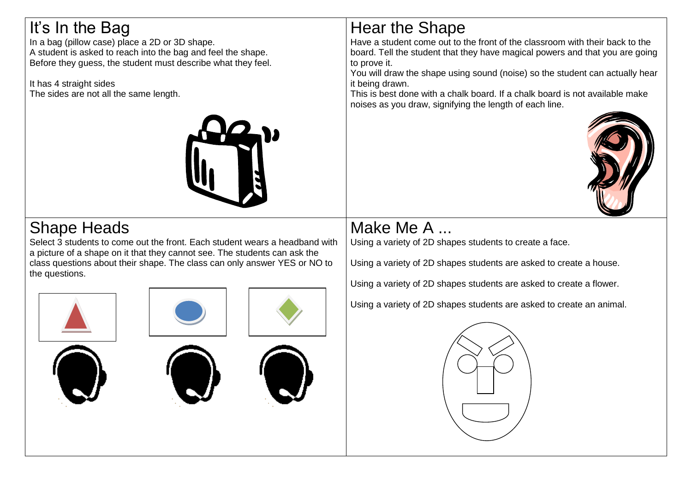# It's In the Bag

In a bag (pillow case) place a 2D or 3D shape. A student is asked to reach into the bag and feel the shape. Before they guess, the student must describe what they feel.

It has 4 straight sides The sides are not all the same length.



# Shape Heads

Select 3 students to come out the front. Each student wears a headband with a picture of a shape on it that they cannot see. The students can ask the class questions about their shape. The class can only answer YES or NO to the questions.











Have a student come out to the front of the classroom with their back to the board. Tell the student that they have magical powers and that you are going to prove it.

You will draw the shape using sound (noise) so the student can actually hear it being drawn.

This is best done with a chalk board. If a chalk board is not available make noises as you draw, signifying the length of each line.



# Make Me A

Using a variety of 2D shapes students to create a face.

Using a variety of 2D shapes students are asked to create a house.

Using a variety of 2D shapes students are asked to create a flower.

Using a variety of 2D shapes students are asked to create an animal.